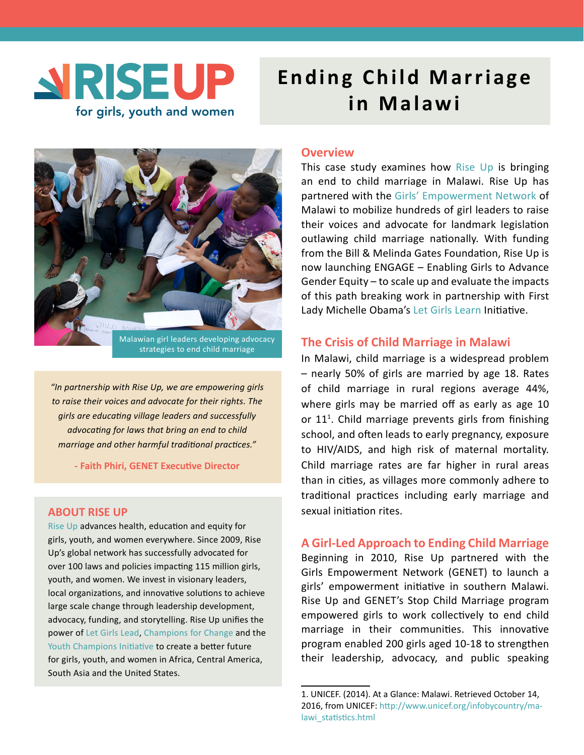

# **Ending Child Marriage in Malawi**



*"In partnership with Rise Up, we are empowering girls to raise their voices and advocate for their rights. The girls are educating village leaders and successfully advocating for laws that bring an end to child marriage and other harmful traditional practices."*

**- Faith Phiri, GENET Executive Director**

## **ABOUT RISE UP**

[Rise Up](http://riseuptogether.org) advances health, education and equity for girls, youth, and women everywhere. Since 2009, Rise Up's global network has successfully advocated for over 100 laws and policies impacting 115 million girls, youth, and women. We invest in visionary leaders, local organizations, and innovative solutions to achieve large scale change through leadership development, advocacy, funding, and storytelling. Rise Up unifies the power of [Let Girls Lead](http://www.riseuptogether.org/en/letgirlslead/), [Champions for Change](http://www.riseuptogether.org/en/championsforchange/) and the [Youth Champions Initiative](http://www.riseuptogether.org/en/youthchampionsinitiative/) to create a better future for girls, youth, and women in Africa, Central America, South Asia and the United States.

## **Overview**

This case study examines how [Rise Up](http://www.riseuptogether.org/en/) is bringing an end to child marriage in Malawi. Rise Up has partnered with the [Girls' Empowerment Network](http://r20.rs6.net/tn.jsp?t=hbmfqazab.0.0.kihksziab.0&id=preview&r=3&p=http%3A%2F%2Fwww.genetmalawi.org%2F) of Malawi to mobilize hundreds of girl leaders to raise their voices and advocate for landmark legislation outlawing child marriage nationally. With funding from the Bill & Melinda Gates Foundation, Rise Up is now launching ENGAGE – Enabling Girls to Advance Gender Equity – to scale up and evaluate the impacts of this path breaking work in partnership with First Lady Michelle Obama's [Let Girls Learn](http://r20.rs6.net/tn.jsp?t=hbmfqazab.0.0.kihksziab.0&id=preview&r=3&p=http%3A%2F%2Fwww.letgirlslearn.gov%2F) Initiative.

## **The Crisis of Child Marriage in Malawi**

In Malawi, child marriage is a widespread problem – nearly 50% of girls are married by age 18. Rates of child marriage in rural regions average 44%, where girls may be married off as early as age 10 or 11<sup>1</sup>. Child marriage prevents girls from finishing school, and often leads to early pregnancy, exposure to HIV/AIDS, and high risk of maternal mortality. Child marriage rates are far higher in rural areas than in cities, as villages more commonly adhere to traditional practices including early marriage and sexual initiation rites.

# **A Girl-Led Approach to Ending Child Marriage**

Beginning in 2010, Rise Up partnered with the Girls Empowerment Network (GENET) to launch a girls' empowerment initiative in southern Malawi. Rise Up and GENET's Stop Child Marriage program empowered girls to work collectively to end child marriage in their communities. This innovative program enabled 200 girls aged 10-18 to strengthen their leadership, advocacy, and public speaking

<sup>1.</sup> UNICEF. (2014). At a Glance: Malawi. Retrieved October 14, 2016, from UNICEF: [http://www.unicef.org/infobycountry/ma](http://www.unicef.org/infobycountry/malawi_statistics.html )lawi\_statistics.html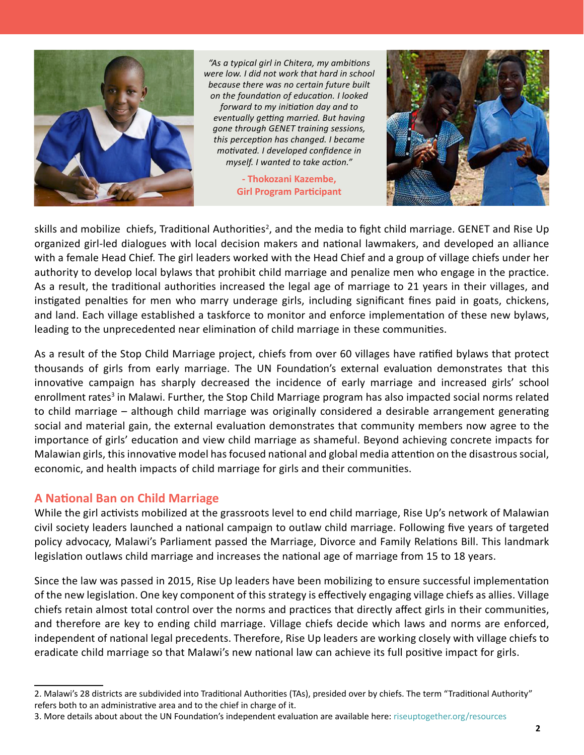

*"As a typical girl in Chitera, my ambitions were low. I did not work that hard in school because there was no certain future built on the foundation of education. I looked forward to my initiation day and to eventually getting married. But having gone through GENET training sessions, this perception has changed. I became motivated. I developed confidence in myself. I wanted to take action."*

**- Thokozani Kazembe, Girl Program Participant**



skills and mobilize chiefs, Traditional Authorities<sup>2</sup>, and the media to fight child marriage. GENET and Rise Up organized girl-led dialogues with local decision makers and national lawmakers, and developed an alliance with a female Head Chief. The girl leaders worked with the Head Chief and a group of village chiefs under her authority to develop local bylaws that prohibit child marriage and penalize men who engage in the practice. As a result, the traditional authorities increased the legal age of marriage to 21 years in their villages, and instigated penalties for men who marry underage girls, including significant fines paid in goats, chickens, and land. Each village established a taskforce to monitor and enforce implementation of these new bylaws, leading to the unprecedented near elimination of child marriage in these communities.

As a result of the Stop Child Marriage project, chiefs from over 60 villages have ratified bylaws that protect thousands of girls from early marriage. The UN Foundation's external evaluation demonstrates that this innovative campaign has sharply decreased the incidence of early marriage and increased girls' school enrollment rates<sup>3</sup> in Malawi. Further, the Stop Child Marriage program has also impacted social norms related to child marriage – although child marriage was originally considered a desirable arrangement generating social and material gain, the external evaluation demonstrates that community members now agree to the importance of girls' education and view child marriage as shameful. Beyond achieving concrete impacts for Malawian girls, this innovative model has focused national and global media attention on the disastrous social, economic, and health impacts of child marriage for girls and their communities.

# **A National Ban on Child Marriage**

While the girl activists mobilized at the grassroots level to end child marriage, Rise Up's network of Malawian civil society leaders launched a national campaign to outlaw child marriage. Following five years of targeted policy advocacy, Malawi's Parliament passed the Marriage, Divorce and Family Relations Bill. This landmark legislation outlaws child marriage and increases the national age of marriage from 15 to 18 years.

Since the law was passed in 2015, Rise Up leaders have been mobilizing to ensure successful implementation of the new legislation. One key component of this strategy is effectively engaging village chiefs as allies. Village chiefs retain almost total control over the norms and practices that directly affect girls in their communities, and therefore are key to ending child marriage. Village chiefs decide which laws and norms are enforced, independent of national legal precedents. Therefore, Rise Up leaders are working closely with village chiefs to eradicate child marriage so that Malawi's new national law can achieve its full positive impact for girls.

3. More details about about the UN Foundation's independent evaluation are available here: riseuptogether.org/resources

<sup>2.</sup> Malawi's 28 districts are subdivided into Traditional Authorities (TAs), presided over by chiefs. The term "Traditional Authority" refers both to an administrative area and to the chief in charge of it.